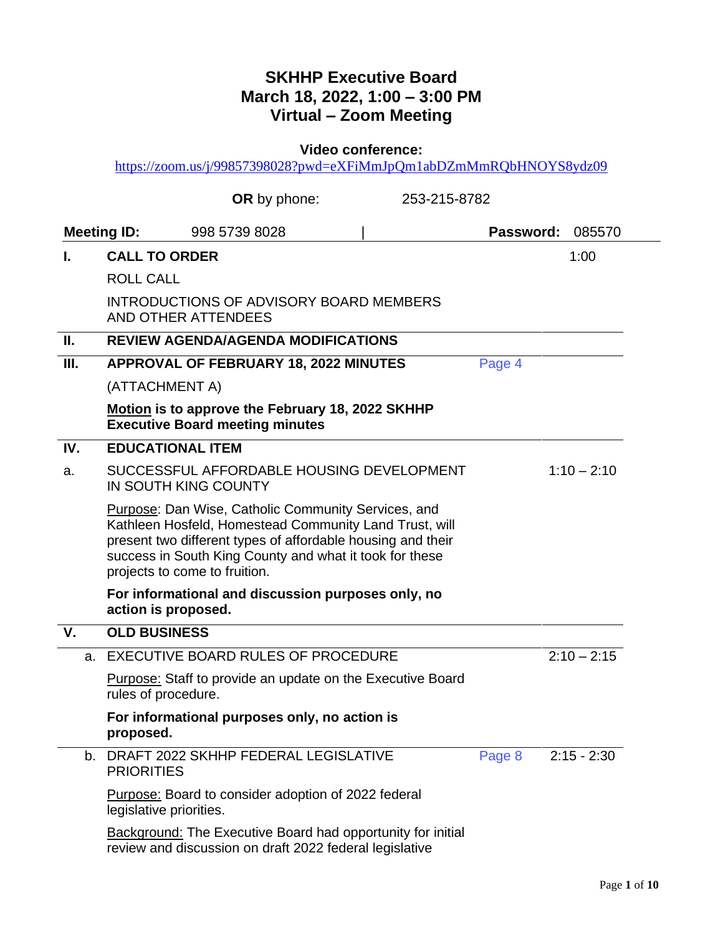## **SKHHP Executive Board March 18, 2022, 1:00 – 3:00 PM Virtual – Zoom Meeting**

**Video conference:** 

<https://zoom.us/j/99857398028?pwd=eXFiMmJpQm1abDZmMmRQbHNOYS8ydz09>

|      | <b>OR</b> by phone:                                                                                                                                                                                                                                                      | 253-215-8782            |
|------|--------------------------------------------------------------------------------------------------------------------------------------------------------------------------------------------------------------------------------------------------------------------------|-------------------------|
|      | <b>Meeting ID:</b><br>998 5739 8028                                                                                                                                                                                                                                      | Password:<br>085570     |
| L.   | <b>CALL TO ORDER</b>                                                                                                                                                                                                                                                     | 1:00                    |
|      | <b>ROLL CALL</b>                                                                                                                                                                                                                                                         |                         |
|      | <b>INTRODUCTIONS OF ADVISORY BOARD MEMBERS</b><br><b>AND OTHER ATTENDEES</b>                                                                                                                                                                                             |                         |
| Ш.   | <b>REVIEW AGENDA/AGENDA MODIFICATIONS</b>                                                                                                                                                                                                                                |                         |
| III. | <b>APPROVAL OF FEBRUARY 18, 2022 MINUTES</b>                                                                                                                                                                                                                             | Page 4                  |
|      | (ATTACHMENT A)                                                                                                                                                                                                                                                           |                         |
|      | Motion is to approve the February 18, 2022 SKHHP<br><b>Executive Board meeting minutes</b>                                                                                                                                                                               |                         |
| IV.  | <b>EDUCATIONAL ITEM</b>                                                                                                                                                                                                                                                  |                         |
| a.   | SUCCESSFUL AFFORDABLE HOUSING DEVELOPMENT<br>IN SOUTH KING COUNTY                                                                                                                                                                                                        | $1:10 - 2:10$           |
|      | Purpose: Dan Wise, Catholic Community Services, and<br>Kathleen Hosfeld, Homestead Community Land Trust, will<br>present two different types of affordable housing and their<br>success in South King County and what it took for these<br>projects to come to fruition. |                         |
|      | For informational and discussion purposes only, no<br>action is proposed.                                                                                                                                                                                                |                         |
| V.   | <b>OLD BUSINESS</b>                                                                                                                                                                                                                                                      |                         |
| a.   | EXECUTIVE BOARD RULES OF PROCEDURE                                                                                                                                                                                                                                       | $2:10 - 2:15$           |
|      | <b>Purpose:</b> Staff to provide an update on the Executive Board<br>rules of procedure.                                                                                                                                                                                 |                         |
|      | For informational purposes only, no action is<br>proposed.                                                                                                                                                                                                               |                         |
| b.   | DRAFT 2022 SKHHP FEDERAL LEGISLATIVE<br><b>PRIORITIES</b>                                                                                                                                                                                                                | $2:15 - 2:30$<br>Page 8 |
|      | Purpose: Board to consider adoption of 2022 federal<br>legislative priorities.                                                                                                                                                                                           |                         |
|      | <b>Background:</b> The Executive Board had opportunity for initial<br>review and discussion on draft 2022 federal legislative                                                                                                                                            |                         |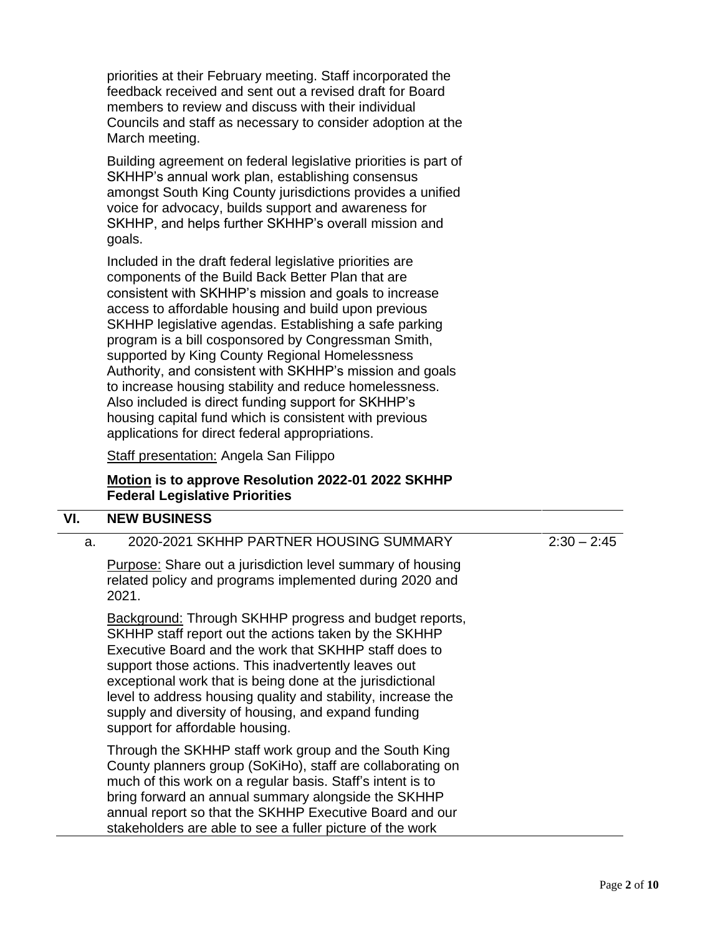priorities at their February meeting. Staff incorporated the feedback received and sent out a revised draft for Board members to review and discuss with their individual Councils and staff as necessary to consider adoption at the March meeting.

Building agreement on federal legislative priorities is part of SKHHP's annual work plan, establishing consensus amongst South King County jurisdictions provides a unified voice for advocacy, builds support and awareness for SKHHP, and helps further SKHHP's overall mission and goals.

Included in the draft federal legislative priorities are components of the Build Back Better Plan that are consistent with SKHHP's mission and goals to increase access to affordable housing and build upon previous SKHHP legislative agendas. Establishing a safe parking program is a bill cosponsored by Congressman Smith, supported by King County Regional Homelessness Authority, and consistent with SKHHP's mission and goals to increase housing stability and reduce homelessness. Also included is direct funding support for SKHHP's housing capital fund which is consistent with previous applications for direct federal appropriations.

Staff presentation: Angela San Filippo

### **Motion is to approve Resolution 2022-01 2022 SKHHP Federal Legislative Priorities**

#### **VI. NEW BUSINESS**

a. 2020-2021 SKHHP PARTNER HOUSING SUMMARY

Purpose: Share out a jurisdiction level summary of housing related policy and programs implemented during 2020 and 2021.

Background: Through SKHHP progress and budget reports, SKHHP staff report out the actions taken by the SKHHP Executive Board and the work that SKHHP staff does to support those actions. This inadvertently leaves out exceptional work that is being done at the jurisdictional level to address housing quality and stability, increase the supply and diversity of housing, and expand funding support for affordable housing.

Through the SKHHP staff work group and the South King County planners group (SoKiHo), staff are collaborating on much of this work on a regular basis. Staff's intent is to bring forward an annual summary alongside the SKHHP annual report so that the SKHHP Executive Board and our stakeholders are able to see a fuller picture of the work

 $2:30 - 2:45$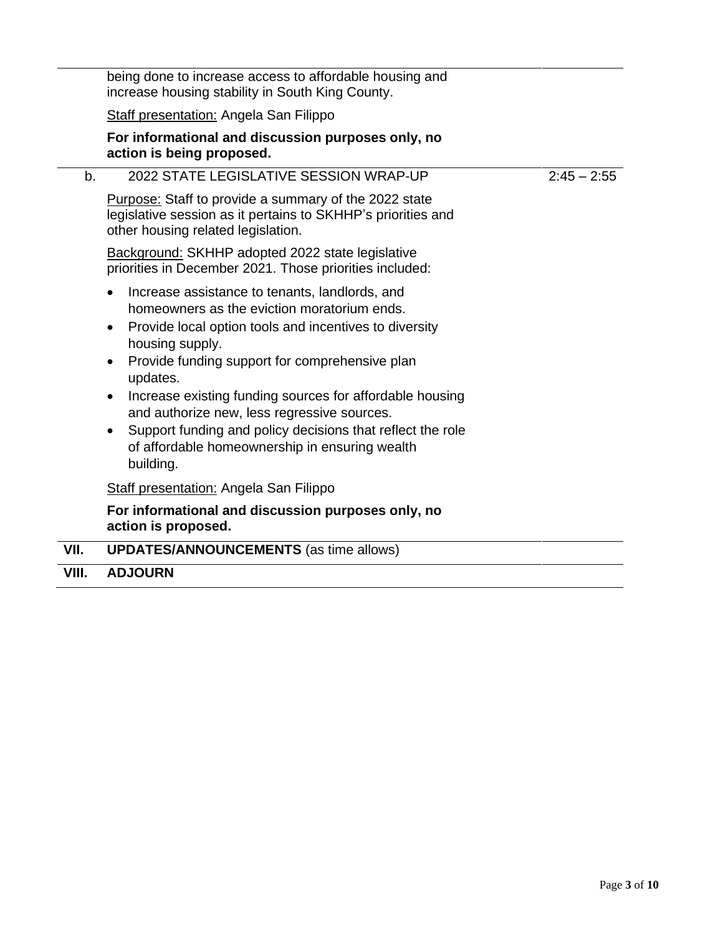|      | being done to increase access to affordable housing and<br>increase housing stability in South King County.                                                                                                                                                                                                                                                                                                                                                                                                |               |
|------|------------------------------------------------------------------------------------------------------------------------------------------------------------------------------------------------------------------------------------------------------------------------------------------------------------------------------------------------------------------------------------------------------------------------------------------------------------------------------------------------------------|---------------|
|      | <b>Staff presentation: Angela San Filippo</b>                                                                                                                                                                                                                                                                                                                                                                                                                                                              |               |
|      | For informational and discussion purposes only, no<br>action is being proposed.                                                                                                                                                                                                                                                                                                                                                                                                                            |               |
| b.   | 2022 STATE LEGISLATIVE SESSION WRAP-UP                                                                                                                                                                                                                                                                                                                                                                                                                                                                     | $2:45 - 2:55$ |
|      | Purpose: Staff to provide a summary of the 2022 state<br>legislative session as it pertains to SKHHP's priorities and<br>other housing related legislation.                                                                                                                                                                                                                                                                                                                                                |               |
|      | Background: SKHHP adopted 2022 state legislative<br>priorities in December 2021. Those priorities included:                                                                                                                                                                                                                                                                                                                                                                                                |               |
|      | Increase assistance to tenants, landlords, and<br>homeowners as the eviction moratorium ends.<br>Provide local option tools and incentives to diversity<br>$\bullet$<br>housing supply.<br>Provide funding support for comprehensive plan<br>updates.<br>Increase existing funding sources for affordable housing<br>and authorize new, less regressive sources.<br>Support funding and policy decisions that reflect the role<br>$\bullet$<br>of affordable homeownership in ensuring wealth<br>building. |               |
|      | Staff presentation: Angela San Filippo                                                                                                                                                                                                                                                                                                                                                                                                                                                                     |               |
|      | For informational and discussion purposes only, no<br>action is proposed.                                                                                                                                                                                                                                                                                                                                                                                                                                  |               |
| VII. | <b>UPDATES/ANNOUNCEMENTS (as time allows)</b>                                                                                                                                                                                                                                                                                                                                                                                                                                                              |               |

**VIII. ADJOURN**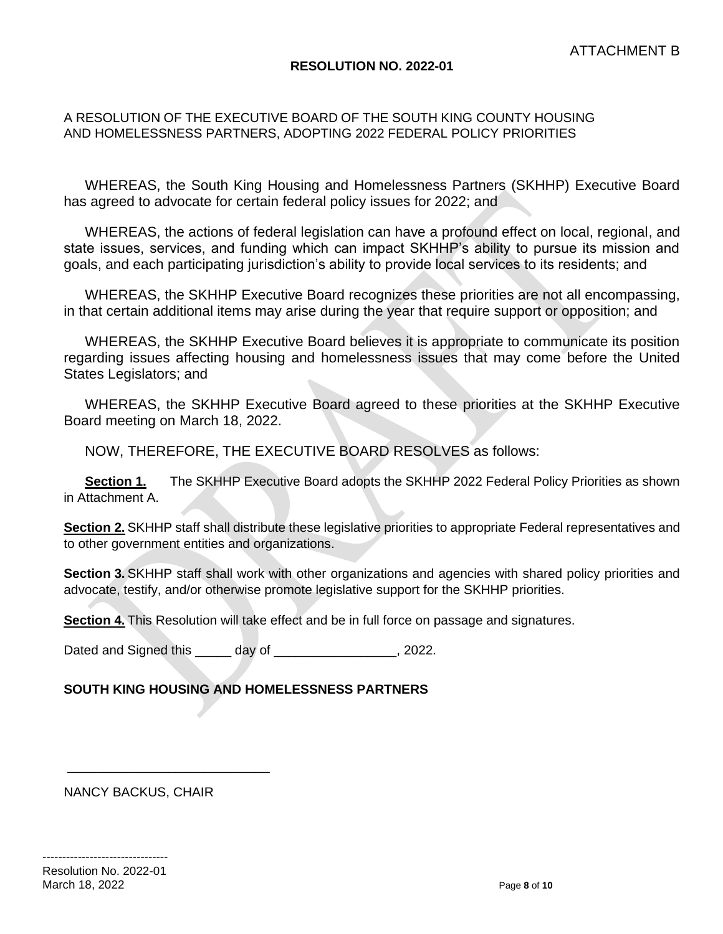#### **RESOLUTION NO. 2022-01**

### <span id="page-3-0"></span>A RESOLUTION OF THE EXECUTIVE BOARD OF THE SOUTH KING COUNTY HOUSING AND HOMELESSNESS PARTNERS, ADOPTING 2022 FEDERAL POLICY PRIORITIES

WHEREAS, the South King Housing and Homelessness Partners (SKHHP) Executive Board has agreed to advocate for certain federal policy issues for 2022; and

WHEREAS, the actions of federal legislation can have a profound effect on local, regional, and state issues, services, and funding which can impact SKHHP's ability to pursue its mission and goals, and each participating jurisdiction's ability to provide local services to its residents; and

WHEREAS, the SKHHP Executive Board recognizes these priorities are not all encompassing, in that certain additional items may arise during the year that require support or opposition; and

WHEREAS, the SKHHP Executive Board believes it is appropriate to communicate its position regarding issues affecting housing and homelessness issues that may come before the United States Legislators; and

WHEREAS, the SKHHP Executive Board agreed to these priorities at the SKHHP Executive Board meeting on March 18, 2022.

NOW, THEREFORE, THE EXECUTIVE BOARD RESOLVES as follows:

**Section 1.** The SKHHP Executive Board adopts the SKHHP 2022 Federal Policy Priorities as shown in Attachment A.

**Section 2.** SKHHP staff shall distribute these legislative priorities to appropriate Federal representatives and to other government entities and organizations.

**Section 3.** SKHHP staff shall work with other organizations and agencies with shared policy priorities and advocate, testify, and/or otherwise promote legislative support for the SKHHP priorities.

**Section 4.** This Resolution will take effect and be in full force on passage and signatures.

Dated and Signed this \_\_\_\_\_\_ day of \_\_\_\_\_\_\_\_\_\_\_\_\_\_\_\_\_\_, 2022.

### **SOUTH KING HOUSING AND HOMELESSNESS PARTNERS**

NANCY BACKUS, CHAIR

\_\_\_\_\_\_\_\_\_\_\_\_\_\_\_\_\_\_\_\_\_\_\_\_\_\_\_\_